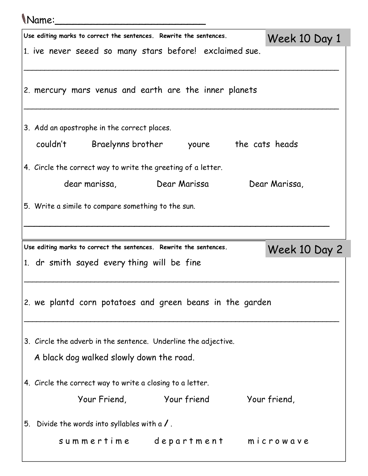| <i>Name</i> : |                                                                    |               |  |
|---------------|--------------------------------------------------------------------|---------------|--|
|               | Use editing marks to correct the sentences. Rewrite the sentences. | Week 10 Day 1 |  |
|               | 1. ive never seeed so many stars before! exclaimed sue.            |               |  |
|               | 2. mercury mars venus and earth are the inner planets              |               |  |
|               | 3. Add an apostrophe in the correct places.                        |               |  |
|               | couldn't Braelynns brother youre the cats heads                    |               |  |
|               | 4. Circle the correct way to write the greeting of a letter.       |               |  |
|               | dear marissa,                       Dear Marissa                   | Dear Marissa, |  |
|               | 5. Write a simile to compare something to the sun.                 |               |  |
|               | Use editing marks to correct the sentences. Rewrite the sentences. |               |  |
|               | 1. dr smith sayed every thing will be fine                         | Week 10 Day 2 |  |
|               | 2. we plantd corn potatoes and green beans in the garden           |               |  |
|               | 3. Circle the adverb in the sentence. Underline the adjective.     |               |  |
|               | A black dog walked slowly down the road.                           |               |  |
|               | 4. Circle the correct way to write a closing to a letter.          |               |  |
|               | Your Friend, Your friend Your friend,                              |               |  |
| 5.            | Divide the words into syllables with a $\prime$ .                  |               |  |
|               |                                                                    |               |  |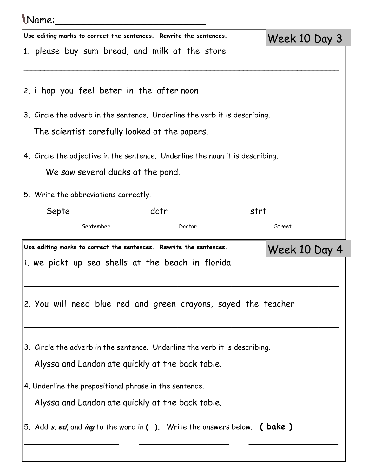## Name:\_\_\_\_\_\_\_\_\_\_\_\_\_\_\_\_\_\_\_\_\_\_\_\_\_

| Use editing marks to correct the sentences. Rewrite the sentences.            | Week 10 Day 3     |
|-------------------------------------------------------------------------------|-------------------|
| 1. please buy sum bread, and milk at the store                                |                   |
|                                                                               |                   |
| 2. i hop you feel beter in the after noon                                     |                   |
| 3. Circle the adverb in the sentence. Underline the verb it is describing.    |                   |
| The scientist carefully looked at the papers.                                 |                   |
|                                                                               |                   |
| 4. Circle the adjective in the sentence. Underline the noun it is describing. |                   |
| We saw several ducks at the pond.                                             |                   |
| 5. Write the abbreviations correctly.                                         |                   |
|                                                                               | strt ____________ |
| September<br>Doctor                                                           | Street            |
| Use editing marks to correct the sentences. Rewrite the sentences.            | Week 10 Day 4     |
| 1. we pickt up sea shells at the beach in florida                             |                   |
|                                                                               |                   |
|                                                                               |                   |
| 2. You will need blue red and green crayons, sayed the teacher                |                   |
|                                                                               |                   |
| 3. Circle the adverb in the sentence. Underline the verb it is describing.    |                   |
| Alyssa and Landon ate quickly at the back table.                              |                   |
|                                                                               |                   |
| 4. Underline the prepositional phrase in the sentence.                        |                   |
| Alyssa and Landon ate quickly at the back table.                              |                   |
| 5. Add s, ed, and ing to the word in (). Write the answers below. ( bake )    |                   |
|                                                                               |                   |